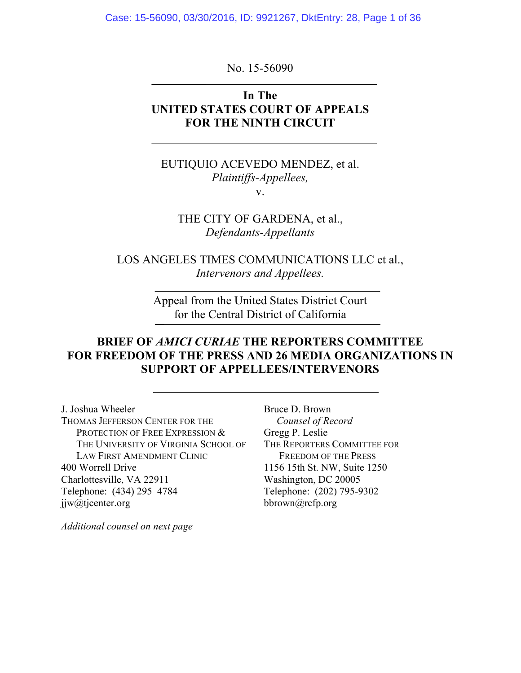Case: 15-56090, 03/30/2016, ID: 9921267, DktEntry: 28, Page 1 of 36

No. 15-56090

## **In The UNITED STATES COURT OF APPEALS FOR THE NINTH CIRCUIT**

EUTIQUIO ACEVEDO MENDEZ, et al. *Plaintiffs-Appellees,* v.

THE CITY OF GARDENA, et al., *Defendants-Appellants*

LOS ANGELES TIMES COMMUNICATIONS LLC et al., *Intervenors and Appellees.*

> Appeal from the United States District Court for the Central District of California

## **BRIEF OF** *AMICI CURIAE* **THE REPORTERS COMMITTEE FOR FREEDOM OF THE PRESS AND 26 MEDIA ORGANIZATIONS IN SUPPORT OF APPELLEES/INTERVENORS**

J. Joshua Wheeler THOMAS JEFFERSON CENTER FOR THE PROTECTION OF FREE EXPRESSION  $&$ THE UNIVERSITY OF VIRGINIA SCHOOL OF LAW FIRST AMENDMENT CLINIC 400 Worrell Drive Charlottesville, VA 22911 Telephone: (434) 295–4784 jjw@tjcenter.org

Gregg P. Leslie THE REPORTERS COMMITTEE FOR FREEDOM OF THE PRESS 1156 15th St. NW, Suite 1250 Washington, DC 20005 Telephone: (202) 795-9302 bbrown@rcfp.org

Bruce D. Brown

 *Counsel of Record*

*Additional counsel on next page*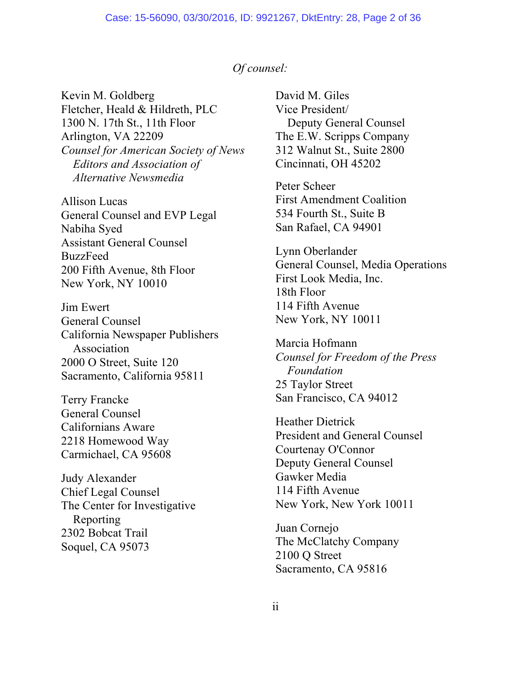### *Of counsel:*

Kevin M. Goldberg Fletcher, Heald & Hildreth, PLC 1300 N. 17th St., 11th Floor Arlington, VA 22209 *Counsel for American Society of News Editors and Association of Alternative Newsmedia*

Allison Lucas General Counsel and EVP Legal Nabiha Syed Assistant General Counsel BuzzFeed 200 Fifth Avenue, 8th Floor New York, NY 10010

Jim Ewert General Counsel California Newspaper Publishers Association 2000 O Street, Suite 120 Sacramento, California 95811

Terry Francke General Counsel Californians Aware 2218 Homewood Way Carmichael, CA 95608

Judy Alexander Chief Legal Counsel The Center for Investigative Reporting 2302 Bobcat Trail Soquel, CA 95073

David M. Giles Vice President/ Deputy General Counsel The E.W. Scripps Company 312 Walnut St., Suite 2800 Cincinnati, OH 45202

Peter Scheer First Amendment Coalition 534 Fourth St., Suite B San Rafael, CA 94901

Lynn Oberlander General Counsel, Media Operations First Look Media, Inc. 18th Floor 114 Fifth Avenue New York, NY 10011

Marcia Hofmann *Counsel for Freedom of the Press Foundation* 25 Taylor Street San Francisco, CA 94012

Heather Dietrick President and General Counsel Courtenay O'Connor Deputy General Counsel Gawker Media 114 Fifth Avenue New York, New York 10011

Juan Cornejo The McClatchy Company 2100 Q Street Sacramento, CA 95816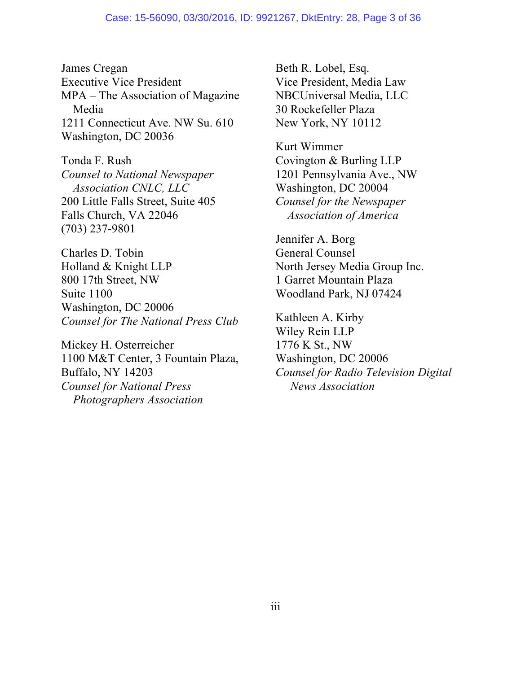James Cregan Executive Vice President MPA – The Association of Magazine Media 1211 Connecticut Ave. NW Su. 610 Washington, DC 20036

Tonda F. Rush *Counsel to National Newspaper Association CNLC, LLC* 200 Little Falls Street, Suite 405 Falls Church, VA 22046 (703) 237-9801

Charles D. Tobin Holland & Knight LLP 800 17th Street, NW Suite 1100 Washington, DC 20006 *Counsel for The National Press Club*

Mickey H. Osterreicher 1100 M&T Center, 3 Fountain Plaza, Buffalo, NY 14203 *Counsel for National Press Photographers Association*

Beth R. Lobel, Esq. Vice President, Media Law NBCUniversal Media, LLC 30 Rockefeller Plaza New York, NY 10112

Kurt Wimmer Covington & Burling LLP 1201 Pennsylvania Ave., NW Washington, DC 20004 *Counsel for the Newspaper Association of America*

Jennifer A. Borg General Counsel North Jersey Media Group Inc. 1 Garret Mountain Plaza Woodland Park, NJ 07424

Kathleen A. Kirby Wiley Rein LLP 1776 K St., NW Washington, DC 20006 *Counsel for Radio Television Digital News Association*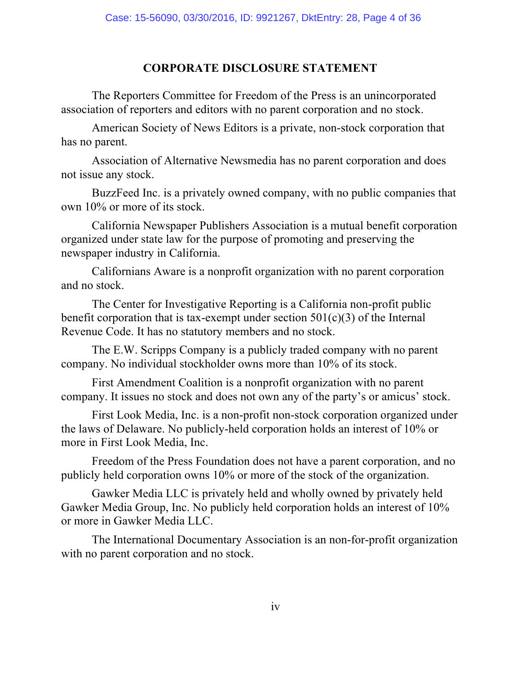# **CORPORATE DISCLOSURE STATEMENT**

The Reporters Committee for Freedom of the Press is an unincorporated association of reporters and editors with no parent corporation and no stock.

American Society of News Editors is a private, non-stock corporation that has no parent.

Association of Alternative Newsmedia has no parent corporation and does not issue any stock.

BuzzFeed Inc. is a privately owned company, with no public companies that own 10% or more of its stock.

California Newspaper Publishers Association is a mutual benefit corporation organized under state law for the purpose of promoting and preserving the newspaper industry in California.

Californians Aware is a nonprofit organization with no parent corporation and no stock.

The Center for Investigative Reporting is a California non-profit public benefit corporation that is tax-exempt under section  $501(c)(3)$  of the Internal Revenue Code. It has no statutory members and no stock.

The E.W. Scripps Company is a publicly traded company with no parent company. No individual stockholder owns more than 10% of its stock.

First Amendment Coalition is a nonprofit organization with no parent company. It issues no stock and does not own any of the party's or amicus' stock.

First Look Media, Inc. is a non-profit non-stock corporation organized under the laws of Delaware. No publicly-held corporation holds an interest of 10% or more in First Look Media, Inc.

Freedom of the Press Foundation does not have a parent corporation, and no publicly held corporation owns 10% or more of the stock of the organization.

Gawker Media LLC is privately held and wholly owned by privately held Gawker Media Group, Inc. No publicly held corporation holds an interest of 10% or more in Gawker Media LLC.

The International Documentary Association is an non-for-profit organization with no parent corporation and no stock.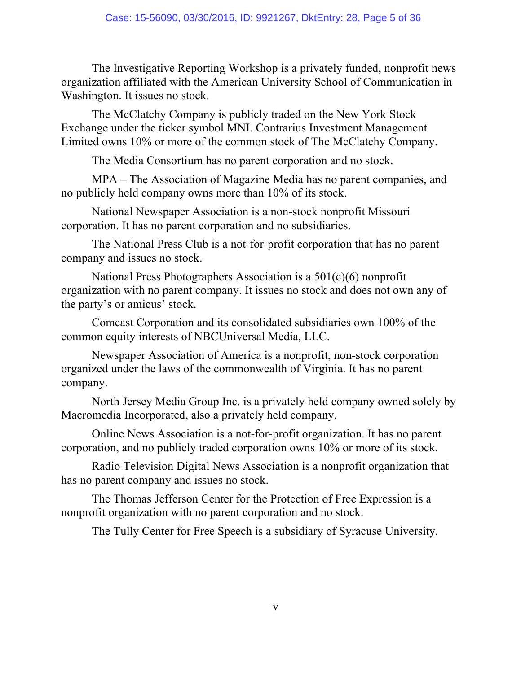The Investigative Reporting Workshop is a privately funded, nonprofit news organization affiliated with the American University School of Communication in Washington. It issues no stock.

The McClatchy Company is publicly traded on the New York Stock Exchange under the ticker symbol MNI. Contrarius Investment Management Limited owns 10% or more of the common stock of The McClatchy Company.

The Media Consortium has no parent corporation and no stock.

MPA – The Association of Magazine Media has no parent companies, and no publicly held company owns more than 10% of its stock.

National Newspaper Association is a non-stock nonprofit Missouri corporation. It has no parent corporation and no subsidiaries.

The National Press Club is a not-for-profit corporation that has no parent company and issues no stock.

National Press Photographers Association is a 501(c)(6) nonprofit organization with no parent company. It issues no stock and does not own any of the party's or amicus' stock.

Comcast Corporation and its consolidated subsidiaries own 100% of the common equity interests of NBCUniversal Media, LLC.

Newspaper Association of America is a nonprofit, non-stock corporation organized under the laws of the commonwealth of Virginia. It has no parent company.

North Jersey Media Group Inc. is a privately held company owned solely by Macromedia Incorporated, also a privately held company.

Online News Association is a not-for-profit organization. It has no parent corporation, and no publicly traded corporation owns 10% or more of its stock.

Radio Television Digital News Association is a nonprofit organization that has no parent company and issues no stock.

The Thomas Jefferson Center for the Protection of Free Expression is a nonprofit organization with no parent corporation and no stock.

The Tully Center for Free Speech is a subsidiary of Syracuse University.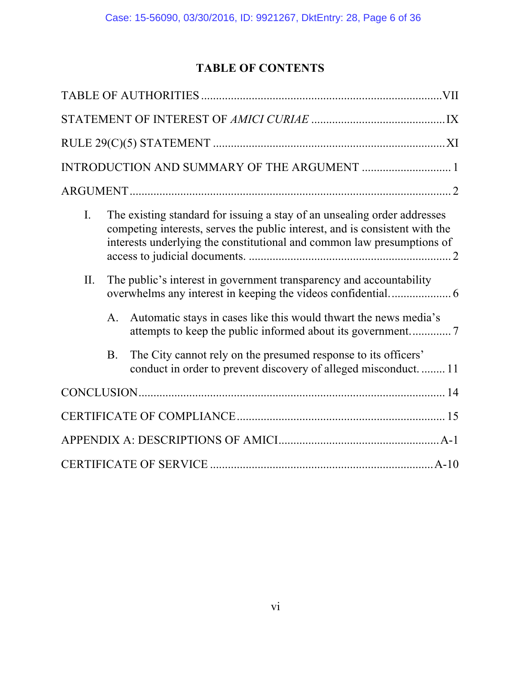# **TABLE OF CONTENTS**

| $\mathbf{I}$ . | The existing standard for issuing a stay of an unsealing order addresses<br>competing interests, serves the public interest, and is consistent with the<br>interests underlying the constitutional and common law presumptions of |                                                                                                                                 |
|----------------|-----------------------------------------------------------------------------------------------------------------------------------------------------------------------------------------------------------------------------------|---------------------------------------------------------------------------------------------------------------------------------|
| II.            |                                                                                                                                                                                                                                   | The public's interest in government transparency and accountability                                                             |
|                | $A_{\cdot}$                                                                                                                                                                                                                       | Automatic stays in cases like this would thwart the news media's                                                                |
|                | <b>B.</b>                                                                                                                                                                                                                         | The City cannot rely on the presumed response to its officers'<br>conduct in order to prevent discovery of alleged misconduct11 |
|                |                                                                                                                                                                                                                                   |                                                                                                                                 |
|                |                                                                                                                                                                                                                                   |                                                                                                                                 |
|                |                                                                                                                                                                                                                                   |                                                                                                                                 |
|                |                                                                                                                                                                                                                                   |                                                                                                                                 |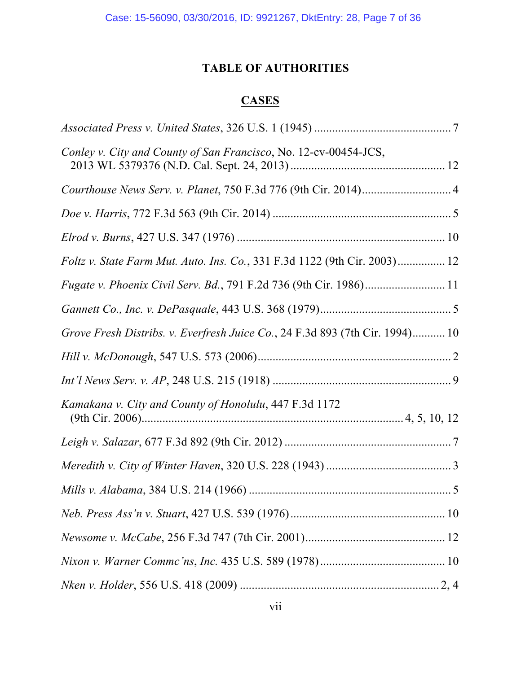# **TABLE OF AUTHORITIES**

# **CASES**

| Conley v. City and County of San Francisco, No. 12-cv-00454-JCS,             |  |
|------------------------------------------------------------------------------|--|
|                                                                              |  |
|                                                                              |  |
|                                                                              |  |
| Foltz v. State Farm Mut. Auto. Ins. Co., 331 F.3d 1122 (9th Cir. 2003) 12    |  |
|                                                                              |  |
|                                                                              |  |
| Grove Fresh Distribs. v. Everfresh Juice Co., 24 F.3d 893 (7th Cir. 1994) 10 |  |
|                                                                              |  |
|                                                                              |  |
| Kamakana v. City and County of Honolulu, 447 F.3d 1172                       |  |
|                                                                              |  |
|                                                                              |  |
|                                                                              |  |
|                                                                              |  |
|                                                                              |  |
|                                                                              |  |
|                                                                              |  |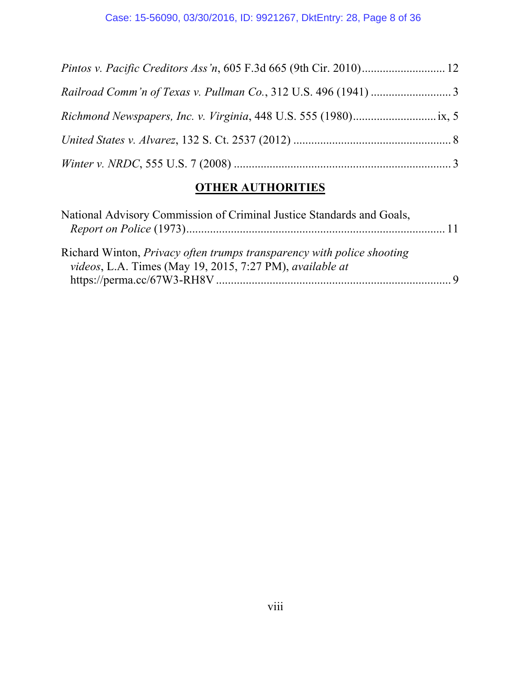# **OTHER AUTHORITIES**

| National Advisory Commission of Criminal Justice Standards and Goals,                                                              |  |
|------------------------------------------------------------------------------------------------------------------------------------|--|
| Richard Winton, Privacy often trumps transparency with police shooting<br>videos, L.A. Times (May 19, 2015, 7:27 PM), available at |  |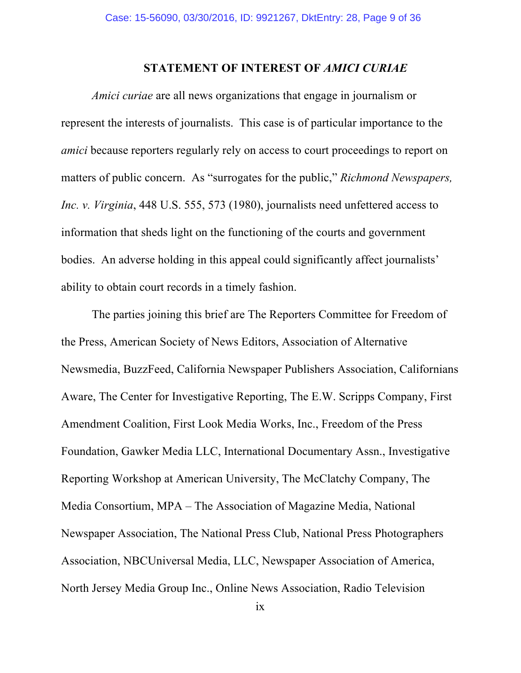### **STATEMENT OF INTEREST OF** *AMICI CURIAE*

*Amici curiae* are all news organizations that engage in journalism or represent the interests of journalists. This case is of particular importance to the *amici* because reporters regularly rely on access to court proceedings to report on matters of public concern. As "surrogates for the public," *Richmond Newspapers, Inc. v. Virginia*, 448 U.S. 555, 573 (1980), journalists need unfettered access to information that sheds light on the functioning of the courts and government bodies. An adverse holding in this appeal could significantly affect journalists' ability to obtain court records in a timely fashion.

The parties joining this brief are The Reporters Committee for Freedom of the Press, American Society of News Editors, Association of Alternative Newsmedia, BuzzFeed, California Newspaper Publishers Association, Californians Aware, The Center for Investigative Reporting, The E.W. Scripps Company, First Amendment Coalition, First Look Media Works, Inc., Freedom of the Press Foundation, Gawker Media LLC, International Documentary Assn., Investigative Reporting Workshop at American University, The McClatchy Company, The Media Consortium, MPA – The Association of Magazine Media, National Newspaper Association, The National Press Club, National Press Photographers Association, NBCUniversal Media, LLC, Newspaper Association of America, North Jersey Media Group Inc., Online News Association, Radio Television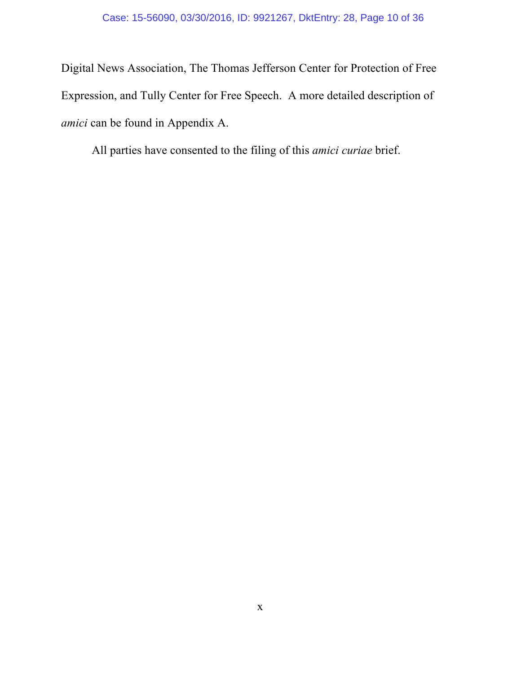Digital News Association, The Thomas Jefferson Center for Protection of Free Expression, and Tully Center for Free Speech. A more detailed description of *amici* can be found in Appendix A.

All parties have consented to the filing of this *amici curiae* brief.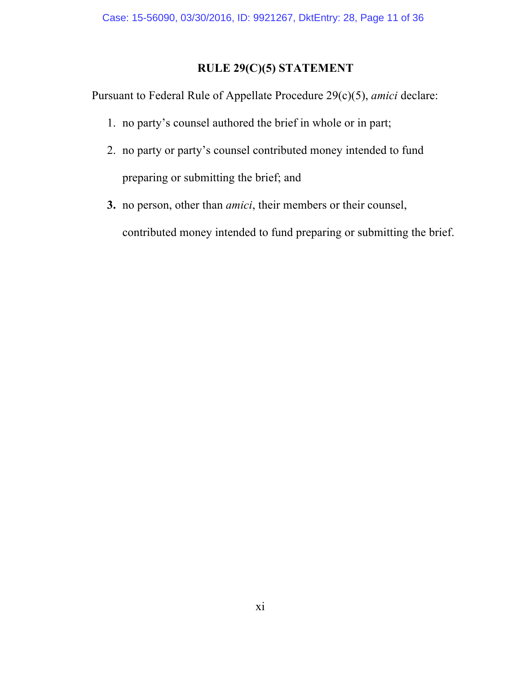# **RULE 29(C)(5) STATEMENT**

Pursuant to Federal Rule of Appellate Procedure 29(c)(5), *amici* declare:

- 1. no party's counsel authored the brief in whole or in part;
- 2. no party or party's counsel contributed money intended to fund preparing or submitting the brief; and
- **3.** no person, other than *amici*, their members or their counsel, contributed money intended to fund preparing or submitting the brief.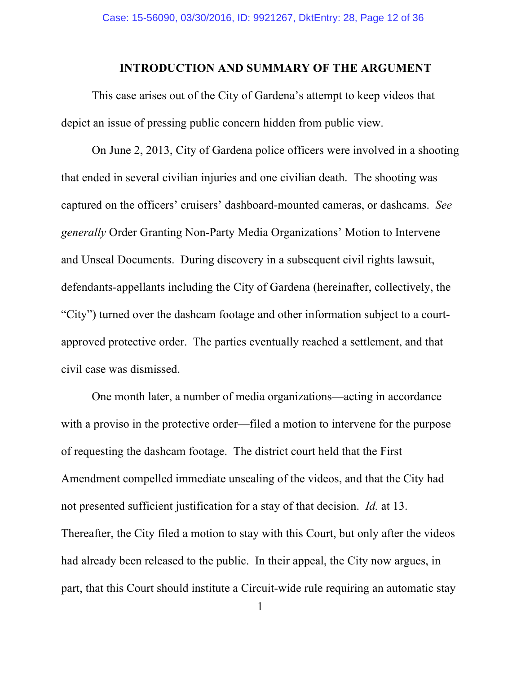#### **INTRODUCTION AND SUMMARY OF THE ARGUMENT**

This case arises out of the City of Gardena's attempt to keep videos that depict an issue of pressing public concern hidden from public view.

On June 2, 2013, City of Gardena police officers were involved in a shooting that ended in several civilian injuries and one civilian death. The shooting was captured on the officers' cruisers' dashboard-mounted cameras, or dashcams. *See generally* Order Granting Non-Party Media Organizations' Motion to Intervene and Unseal Documents. During discovery in a subsequent civil rights lawsuit, defendants-appellants including the City of Gardena (hereinafter, collectively, the "City") turned over the dashcam footage and other information subject to a courtapproved protective order. The parties eventually reached a settlement, and that civil case was dismissed.

One month later, a number of media organizations—acting in accordance with a proviso in the protective order—filed a motion to intervene for the purpose of requesting the dashcam footage. The district court held that the First Amendment compelled immediate unsealing of the videos, and that the City had not presented sufficient justification for a stay of that decision. *Id.* at 13. Thereafter, the City filed a motion to stay with this Court, but only after the videos had already been released to the public. In their appeal, the City now argues, in part, that this Court should institute a Circuit-wide rule requiring an automatic stay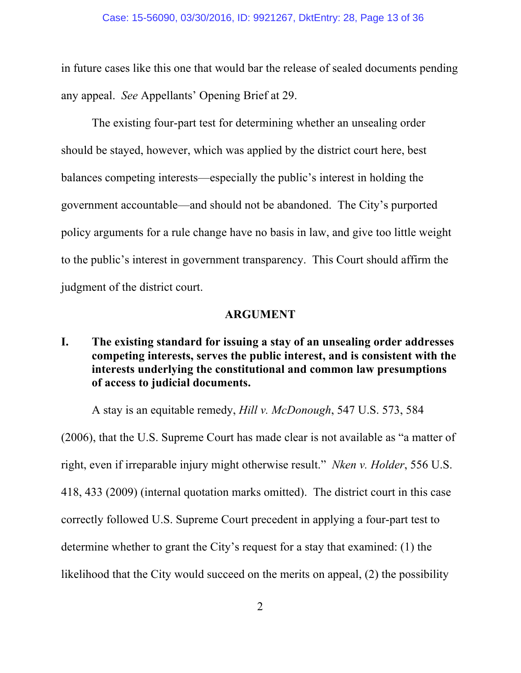in future cases like this one that would bar the release of sealed documents pending any appeal. *See* Appellants' Opening Brief at 29.

The existing four-part test for determining whether an unsealing order should be stayed, however, which was applied by the district court here, best balances competing interests—especially the public's interest in holding the government accountable—and should not be abandoned. The City's purported policy arguments for a rule change have no basis in law, and give too little weight to the public's interest in government transparency. This Court should affirm the judgment of the district court.

#### **ARGUMENT**

**I. The existing standard for issuing a stay of an unsealing order addresses competing interests, serves the public interest, and is consistent with the interests underlying the constitutional and common law presumptions of access to judicial documents.**

A stay is an equitable remedy, *Hill v. McDonough*, 547 U.S. 573, 584

(2006), that the U.S. Supreme Court has made clear is not available as "a matter of right, even if irreparable injury might otherwise result." *Nken v. Holder*, 556 U.S. 418, 433 (2009) (internal quotation marks omitted). The district court in this case correctly followed U.S. Supreme Court precedent in applying a four-part test to determine whether to grant the City's request for a stay that examined: (1) the likelihood that the City would succeed on the merits on appeal, (2) the possibility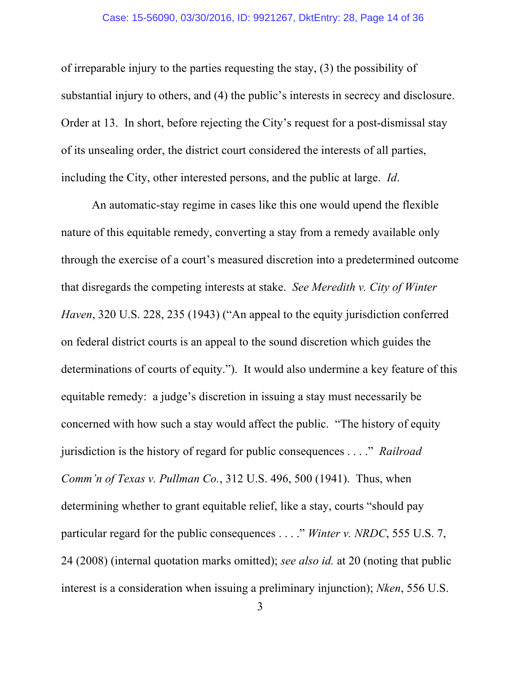of irreparable injury to the parties requesting the stay, (3) the possibility of substantial injury to others, and (4) the public's interests in secrecy and disclosure. Order at 13. In short, before rejecting the City's request for a post-dismissal stay of its unsealing order, the district court considered the interests of all parties, including the City, other interested persons, and the public at large. *Id*.

An automatic-stay regime in cases like this one would upend the flexible nature of this equitable remedy, converting a stay from a remedy available only through the exercise of a court's measured discretion into a predetermined outcome that disregards the competing interests at stake. *See Meredith v. City of Winter Haven*, 320 U.S. 228, 235 (1943) ("An appeal to the equity jurisdiction conferred on federal district courts is an appeal to the sound discretion which guides the determinations of courts of equity."). It would also undermine a key feature of this equitable remedy: a judge's discretion in issuing a stay must necessarily be concerned with how such a stay would affect the public. "The history of equity jurisdiction is the history of regard for public consequences . . . ." *Railroad Comm'n of Texas v. Pullman Co.*, 312 U.S. 496, 500 (1941). Thus, when determining whether to grant equitable relief, like a stay, courts "should pay particular regard for the public consequences . . . ." *Winter v. NRDC*, 555 U.S. 7, 24 (2008) (internal quotation marks omitted); *see also id.* at 20 (noting that public interest is a consideration when issuing a preliminary injunction); *Nken*, 556 U.S.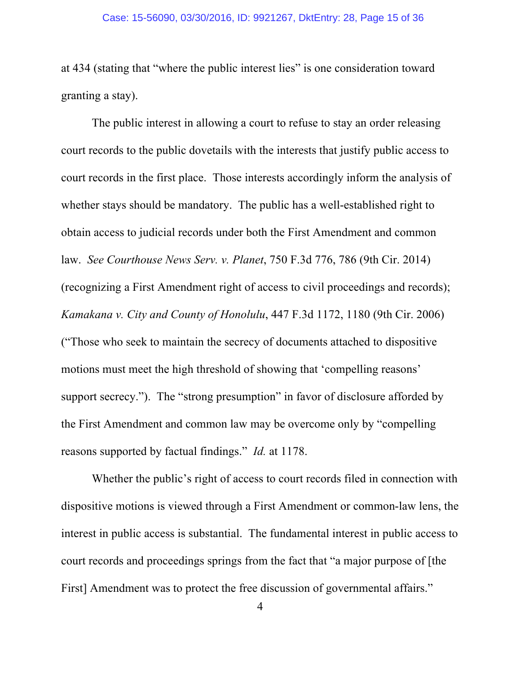#### Case: 15-56090, 03/30/2016, ID: 9921267, DktEntry: 28, Page 15 of 36

at 434 (stating that "where the public interest lies" is one consideration toward granting a stay).

The public interest in allowing a court to refuse to stay an order releasing court records to the public dovetails with the interests that justify public access to court records in the first place. Those interests accordingly inform the analysis of whether stays should be mandatory. The public has a well-established right to obtain access to judicial records under both the First Amendment and common law. *See Courthouse News Serv. v. Planet*, 750 F.3d 776, 786 (9th Cir. 2014) (recognizing a First Amendment right of access to civil proceedings and records); *Kamakana v. City and County of Honolulu*, 447 F.3d 1172, 1180 (9th Cir. 2006) ("Those who seek to maintain the secrecy of documents attached to dispositive motions must meet the high threshold of showing that 'compelling reasons' support secrecy."). The "strong presumption" in favor of disclosure afforded by the First Amendment and common law may be overcome only by "compelling reasons supported by factual findings." *Id.* at 1178.

Whether the public's right of access to court records filed in connection with dispositive motions is viewed through a First Amendment or common-law lens, the interest in public access is substantial. The fundamental interest in public access to court records and proceedings springs from the fact that "a major purpose of [the First] Amendment was to protect the free discussion of governmental affairs."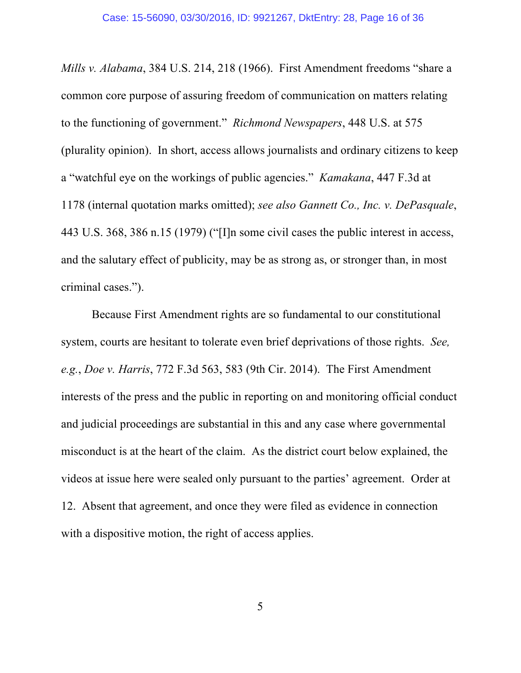*Mills v. Alabama*, 384 U.S. 214, 218 (1966). First Amendment freedoms "share a common core purpose of assuring freedom of communication on matters relating to the functioning of government." *Richmond Newspapers*, 448 U.S. at 575 (plurality opinion). In short, access allows journalists and ordinary citizens to keep a "watchful eye on the workings of public agencies." *Kamakana*, 447 F.3d at 1178 (internal quotation marks omitted); *see also Gannett Co., Inc. v. DePasquale*, 443 U.S. 368, 386 n.15 (1979) ("[I]n some civil cases the public interest in access, and the salutary effect of publicity, may be as strong as, or stronger than, in most criminal cases.").

Because First Amendment rights are so fundamental to our constitutional system, courts are hesitant to tolerate even brief deprivations of those rights. *See, e.g.*, *Doe v. Harris*, 772 F.3d 563, 583 (9th Cir. 2014). The First Amendment interests of the press and the public in reporting on and monitoring official conduct and judicial proceedings are substantial in this and any case where governmental misconduct is at the heart of the claim. As the district court below explained, the videos at issue here were sealed only pursuant to the parties' agreement. Order at 12. Absent that agreement, and once they were filed as evidence in connection with a dispositive motion, the right of access applies.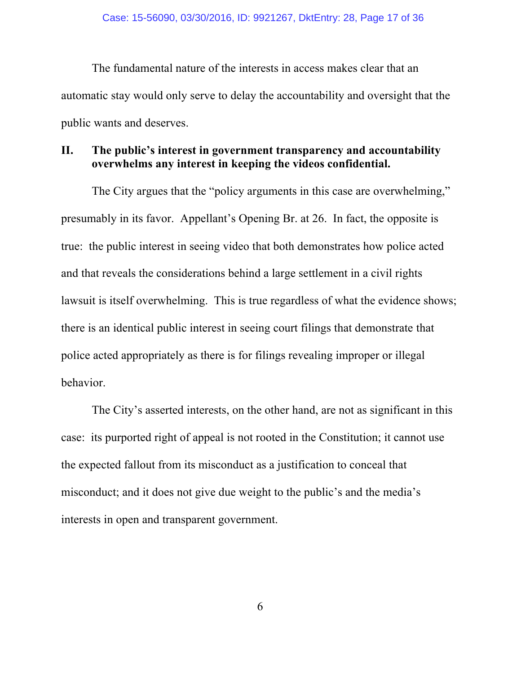The fundamental nature of the interests in access makes clear that an automatic stay would only serve to delay the accountability and oversight that the public wants and deserves.

### **II. The public's interest in government transparency and accountability overwhelms any interest in keeping the videos confidential.**

The City argues that the "policy arguments in this case are overwhelming," presumably in its favor. Appellant's Opening Br. at 26. In fact, the opposite is true: the public interest in seeing video that both demonstrates how police acted and that reveals the considerations behind a large settlement in a civil rights lawsuit is itself overwhelming. This is true regardless of what the evidence shows; there is an identical public interest in seeing court filings that demonstrate that police acted appropriately as there is for filings revealing improper or illegal behavior.

The City's asserted interests, on the other hand, are not as significant in this case: its purported right of appeal is not rooted in the Constitution; it cannot use the expected fallout from its misconduct as a justification to conceal that misconduct; and it does not give due weight to the public's and the media's interests in open and transparent government.

6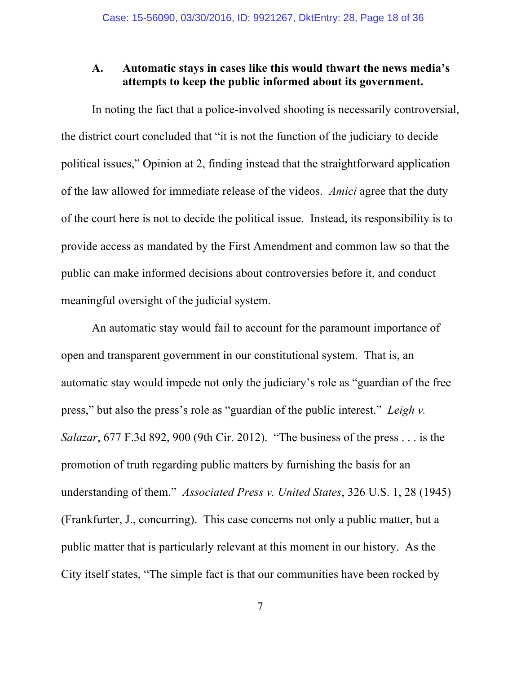### **A. Automatic stays in cases like this would thwart the news media's attempts to keep the public informed about its government.**

In noting the fact that a police-involved shooting is necessarily controversial, the district court concluded that "it is not the function of the judiciary to decide political issues," Opinion at 2, finding instead that the straightforward application of the law allowed for immediate release of the videos. *Amici* agree that the duty of the court here is not to decide the political issue. Instead, its responsibility is to provide access as mandated by the First Amendment and common law so that the public can make informed decisions about controversies before it, and conduct meaningful oversight of the judicial system.

An automatic stay would fail to account for the paramount importance of open and transparent government in our constitutional system. That is, an automatic stay would impede not only the judiciary's role as "guardian of the free press," but also the press's role as "guardian of the public interest." *Leigh v. Salazar*, 677 F.3d 892, 900 (9th Cir. 2012). "The business of the press . . . is the promotion of truth regarding public matters by furnishing the basis for an understanding of them." *Associated Press v. United States*, 326 U.S. 1, 28 (1945) (Frankfurter, J., concurring). This case concerns not only a public matter, but a public matter that is particularly relevant at this moment in our history. As the City itself states, "The simple fact is that our communities have been rocked by

7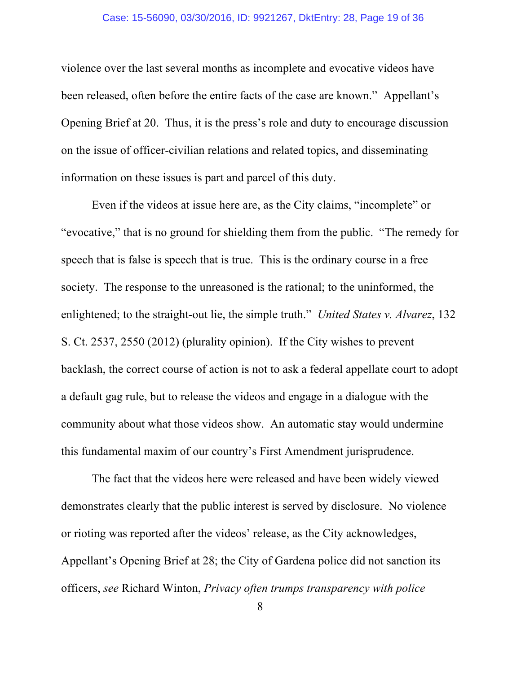#### Case: 15-56090, 03/30/2016, ID: 9921267, DktEntry: 28, Page 19 of 36

violence over the last several months as incomplete and evocative videos have been released, often before the entire facts of the case are known." Appellant's Opening Brief at 20. Thus, it is the press's role and duty to encourage discussion on the issue of officer-civilian relations and related topics, and disseminating information on these issues is part and parcel of this duty.

Even if the videos at issue here are, as the City claims, "incomplete" or "evocative," that is no ground for shielding them from the public. "The remedy for speech that is false is speech that is true. This is the ordinary course in a free society. The response to the unreasoned is the rational; to the uninformed, the enlightened; to the straight-out lie, the simple truth." *United States v. Alvarez*, 132 S. Ct. 2537, 2550 (2012) (plurality opinion). If the City wishes to prevent backlash, the correct course of action is not to ask a federal appellate court to adopt a default gag rule, but to release the videos and engage in a dialogue with the community about what those videos show. An automatic stay would undermine this fundamental maxim of our country's First Amendment jurisprudence.

The fact that the videos here were released and have been widely viewed demonstrates clearly that the public interest is served by disclosure. No violence or rioting was reported after the videos' release, as the City acknowledges, Appellant's Opening Brief at 28; the City of Gardena police did not sanction its officers, *see* Richard Winton, *Privacy often trumps transparency with police*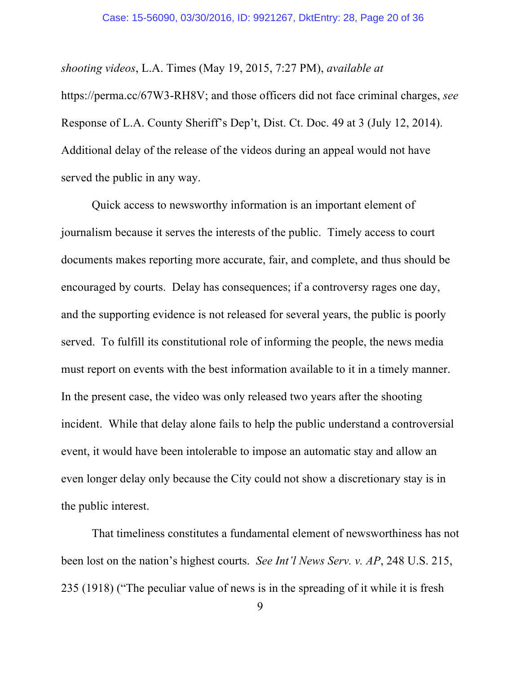*shooting videos*, L.A. Times (May 19, 2015, 7:27 PM), *available at*

https://perma.cc/67W3-RH8V; and those officers did not face criminal charges, *see* Response of L.A. County Sheriff's Dep't, Dist. Ct. Doc. 49 at 3 (July 12, 2014). Additional delay of the release of the videos during an appeal would not have served the public in any way.

Quick access to newsworthy information is an important element of journalism because it serves the interests of the public. Timely access to court documents makes reporting more accurate, fair, and complete, and thus should be encouraged by courts. Delay has consequences; if a controversy rages one day, and the supporting evidence is not released for several years, the public is poorly served. To fulfill its constitutional role of informing the people, the news media must report on events with the best information available to it in a timely manner. In the present case, the video was only released two years after the shooting incident. While that delay alone fails to help the public understand a controversial event, it would have been intolerable to impose an automatic stay and allow an even longer delay only because the City could not show a discretionary stay is in the public interest.

That timeliness constitutes a fundamental element of newsworthiness has not been lost on the nation's highest courts. *See Int'l News Serv. v. AP*, 248 U.S. 215, 235 (1918) ("The peculiar value of news is in the spreading of it while it is fresh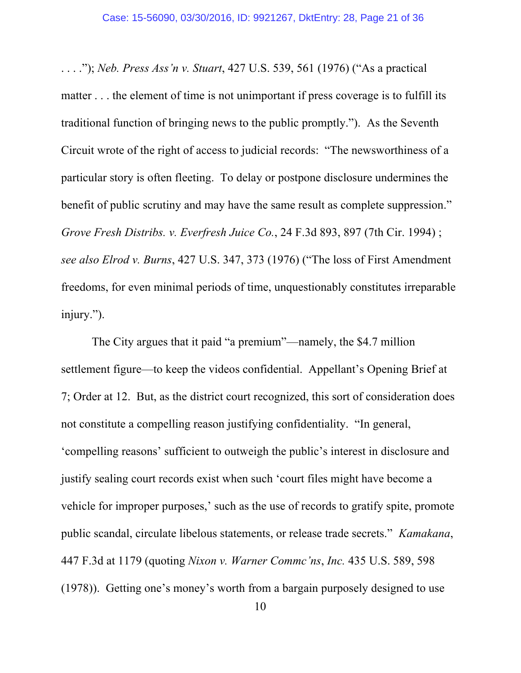. . . ."); *Neb. Press Ass'n v. Stuart*, 427 U.S. 539, 561 (1976) ("As a practical matter . . . the element of time is not unimportant if press coverage is to fulfill its traditional function of bringing news to the public promptly."). As the Seventh Circuit wrote of the right of access to judicial records: "The newsworthiness of a particular story is often fleeting. To delay or postpone disclosure undermines the benefit of public scrutiny and may have the same result as complete suppression." *Grove Fresh Distribs. v. Everfresh Juice Co.*, 24 F.3d 893, 897 (7th Cir. 1994) ; *see also Elrod v. Burns*, 427 U.S. 347, 373 (1976) ("The loss of First Amendment freedoms, for even minimal periods of time, unquestionably constitutes irreparable injury.").

The City argues that it paid "a premium"—namely, the \$4.7 million settlement figure—to keep the videos confidential. Appellant's Opening Brief at 7; Order at 12. But, as the district court recognized, this sort of consideration does not constitute a compelling reason justifying confidentiality. "In general, 'compelling reasons' sufficient to outweigh the public's interest in disclosure and justify sealing court records exist when such 'court files might have become a vehicle for improper purposes,' such as the use of records to gratify spite, promote public scandal, circulate libelous statements, or release trade secrets." *Kamakana*, 447 F.3d at 1179 (quoting *Nixon v. Warner Commc'ns*, *Inc.* 435 U.S. 589, 598 (1978)). Getting one's money's worth from a bargain purposely designed to use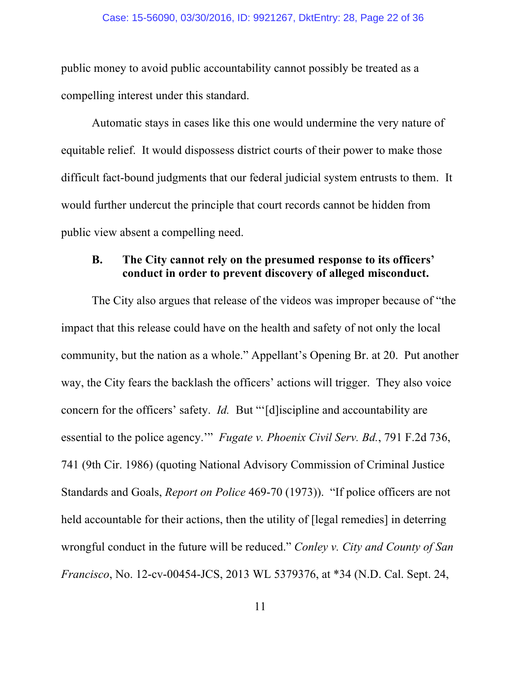public money to avoid public accountability cannot possibly be treated as a compelling interest under this standard.

Automatic stays in cases like this one would undermine the very nature of equitable relief. It would dispossess district courts of their power to make those difficult fact-bound judgments that our federal judicial system entrusts to them. It would further undercut the principle that court records cannot be hidden from public view absent a compelling need.

### **B. The City cannot rely on the presumed response to its officers' conduct in order to prevent discovery of alleged misconduct.**

The City also argues that release of the videos was improper because of "the impact that this release could have on the health and safety of not only the local community, but the nation as a whole." Appellant's Opening Br. at 20. Put another way, the City fears the backlash the officers' actions will trigger. They also voice concern for the officers' safety. *Id.* But "'[d]iscipline and accountability are essential to the police agency.'" *Fugate v. Phoenix Civil Serv. Bd.*, 791 F.2d 736, 741 (9th Cir. 1986) (quoting National Advisory Commission of Criminal Justice Standards and Goals, *Report on Police* 469-70 (1973)). "If police officers are not held accountable for their actions, then the utility of [legal remedies] in deterring wrongful conduct in the future will be reduced." *Conley v. City and County of San Francisco*, No. 12-cv-00454-JCS, 2013 WL 5379376, at \*34 (N.D. Cal. Sept. 24,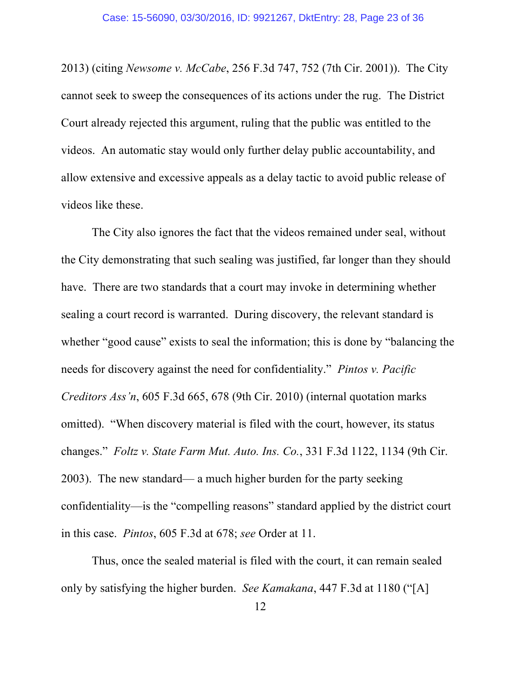2013) (citing *Newsome v. McCabe*, 256 F.3d 747, 752 (7th Cir. 2001)). The City cannot seek to sweep the consequences of its actions under the rug. The District Court already rejected this argument, ruling that the public was entitled to the videos. An automatic stay would only further delay public accountability, and allow extensive and excessive appeals as a delay tactic to avoid public release of videos like these.

The City also ignores the fact that the videos remained under seal, without the City demonstrating that such sealing was justified, far longer than they should have. There are two standards that a court may invoke in determining whether sealing a court record is warranted. During discovery, the relevant standard is whether "good cause" exists to seal the information; this is done by "balancing the needs for discovery against the need for confidentiality." *Pintos v. Pacific Creditors Ass'n*, 605 F.3d 665, 678 (9th Cir. 2010) (internal quotation marks omitted). "When discovery material is filed with the court, however, its status changes." *Foltz v. State Farm Mut. Auto. Ins. Co.*, 331 F.3d 1122, 1134 (9th Cir. 2003). The new standard— a much higher burden for the party seeking confidentiality—is the "compelling reasons" standard applied by the district court in this case. *Pintos*, 605 F.3d at 678; *see* Order at 11.

Thus, once the sealed material is filed with the court, it can remain sealed only by satisfying the higher burden. *See Kamakana*, 447 F.3d at 1180 ("[A]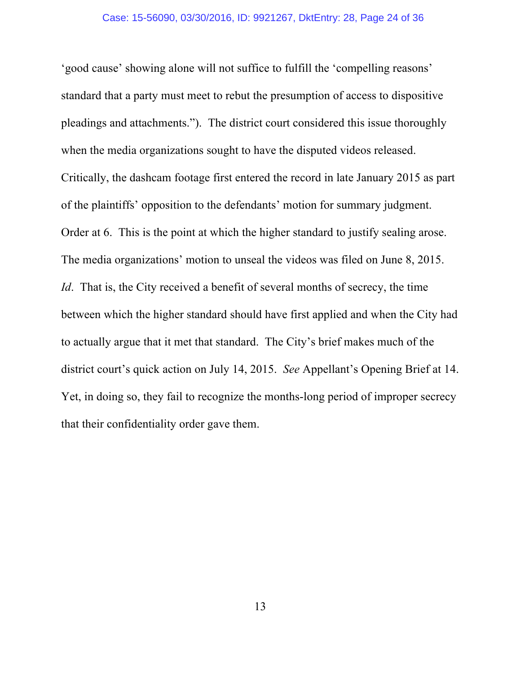'good cause' showing alone will not suffice to fulfill the 'compelling reasons' standard that a party must meet to rebut the presumption of access to dispositive pleadings and attachments."). The district court considered this issue thoroughly when the media organizations sought to have the disputed videos released. Critically, the dashcam footage first entered the record in late January 2015 as part of the plaintiffs' opposition to the defendants' motion for summary judgment. Order at 6. This is the point at which the higher standard to justify sealing arose. The media organizations' motion to unseal the videos was filed on June 8, 2015. *Id*. That is, the City received a benefit of several months of secrecy, the time between which the higher standard should have first applied and when the City had to actually argue that it met that standard. The City's brief makes much of the district court's quick action on July 14, 2015. *See* Appellant's Opening Brief at 14. Yet, in doing so, they fail to recognize the months-long period of improper secrecy that their confidentiality order gave them.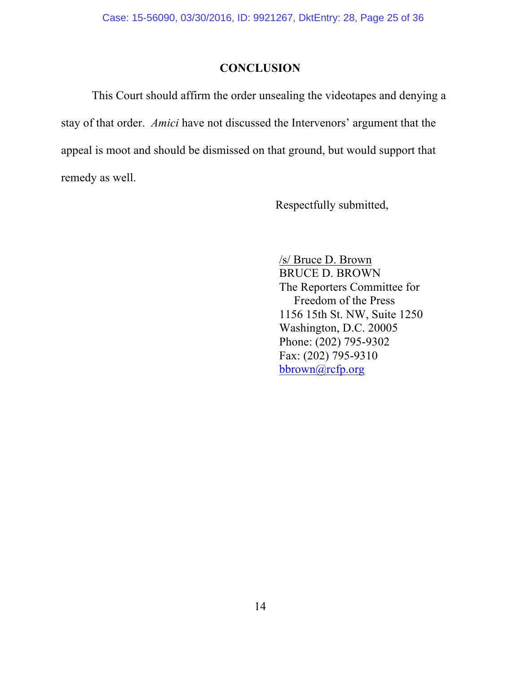# **CONCLUSION**

This Court should affirm the order unsealing the videotapes and denying a stay of that order. *Amici* have not discussed the Intervenors' argument that the appeal is moot and should be dismissed on that ground, but would support that remedy as well.

Respectfully submitted,

/s/ Bruce D. Brown BRUCE D. BROWN The Reporters Committee for Freedom of the Press 1156 15th St. NW, Suite 1250 Washington, D.C. 20005 Phone: (202) 795-9302 Fax: (202) 795-9310 bbrown@rcfp.org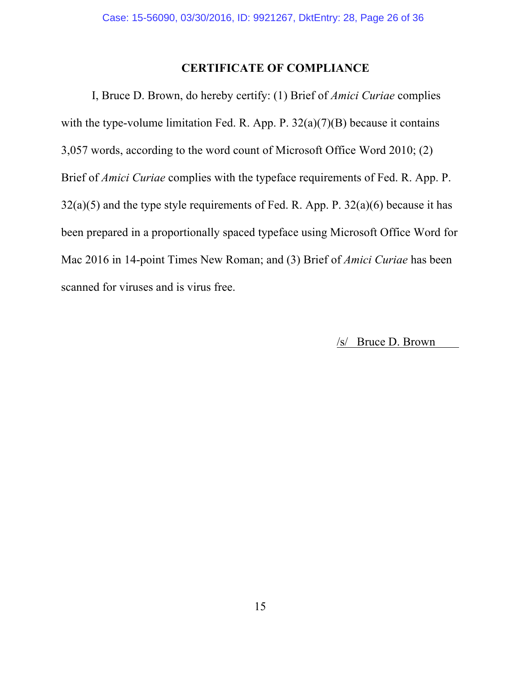## **CERTIFICATE OF COMPLIANCE**

I, Bruce D. Brown, do hereby certify: (1) Brief of *Amici Curiae* complies with the type-volume limitation Fed. R. App. P. 32(a)(7)(B) because it contains 3,057 words, according to the word count of Microsoft Office Word 2010; (2) Brief of *Amici Curiae* complies with the typeface requirements of Fed. R. App. P.  $32(a)(5)$  and the type style requirements of Fed. R. App. P.  $32(a)(6)$  because it has been prepared in a proportionally spaced typeface using Microsoft Office Word for Mac 2016 in 14-point Times New Roman; and (3) Brief of *Amici Curiae* has been scanned for viruses and is virus free.

/s/ Bruce D. Brown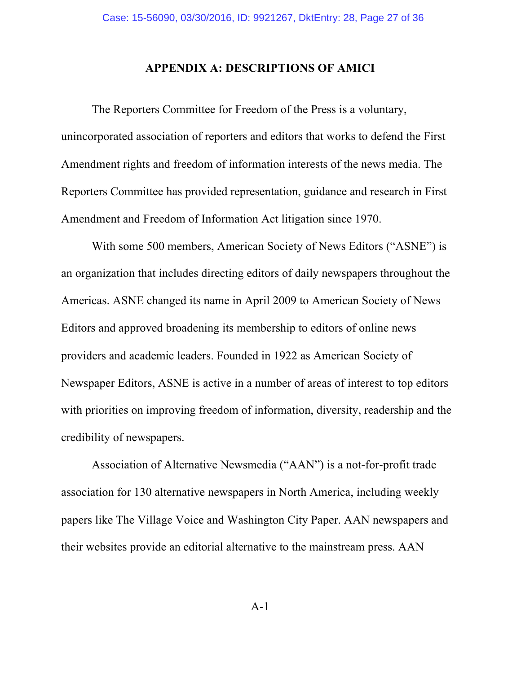### **APPENDIX A: DESCRIPTIONS OF AMICI**

The Reporters Committee for Freedom of the Press is a voluntary, unincorporated association of reporters and editors that works to defend the First Amendment rights and freedom of information interests of the news media. The Reporters Committee has provided representation, guidance and research in First Amendment and Freedom of Information Act litigation since 1970.

With some 500 members, American Society of News Editors ("ASNE") is an organization that includes directing editors of daily newspapers throughout the Americas. ASNE changed its name in April 2009 to American Society of News Editors and approved broadening its membership to editors of online news providers and academic leaders. Founded in 1922 as American Society of Newspaper Editors, ASNE is active in a number of areas of interest to top editors with priorities on improving freedom of information, diversity, readership and the credibility of newspapers.

Association of Alternative Newsmedia ("AAN") is a not-for-profit trade association for 130 alternative newspapers in North America, including weekly papers like The Village Voice and Washington City Paper. AAN newspapers and their websites provide an editorial alternative to the mainstream press. AAN

A-1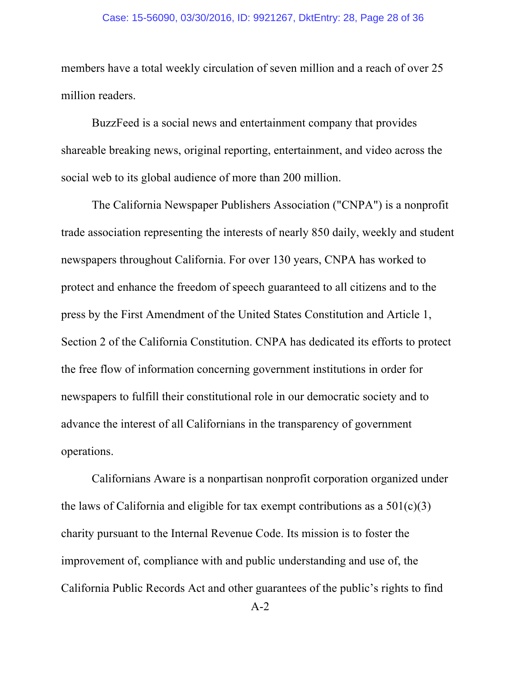#### Case: 15-56090, 03/30/2016, ID: 9921267, DktEntry: 28, Page 28 of 36

members have a total weekly circulation of seven million and a reach of over 25 million readers.

BuzzFeed is a social news and entertainment company that provides shareable breaking news, original reporting, entertainment, and video across the social web to its global audience of more than 200 million.

The California Newspaper Publishers Association ("CNPA") is a nonprofit trade association representing the interests of nearly 850 daily, weekly and student newspapers throughout California. For over 130 years, CNPA has worked to protect and enhance the freedom of speech guaranteed to all citizens and to the press by the First Amendment of the United States Constitution and Article 1, Section 2 of the California Constitution. CNPA has dedicated its efforts to protect the free flow of information concerning government institutions in order for newspapers to fulfill their constitutional role in our democratic society and to advance the interest of all Californians in the transparency of government operations.

Californians Aware is a nonpartisan nonprofit corporation organized under the laws of California and eligible for tax exempt contributions as a  $501(c)(3)$ charity pursuant to the Internal Revenue Code. Its mission is to foster the improvement of, compliance with and public understanding and use of, the California Public Records Act and other guarantees of the public's rights to find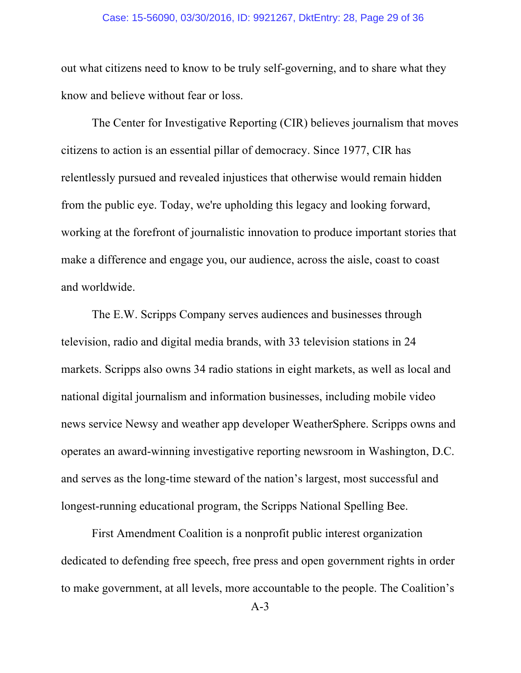#### Case: 15-56090, 03/30/2016, ID: 9921267, DktEntry: 28, Page 29 of 36

out what citizens need to know to be truly self-governing, and to share what they know and believe without fear or loss.

The Center for Investigative Reporting (CIR) believes journalism that moves citizens to action is an essential pillar of democracy. Since 1977, CIR has relentlessly pursued and revealed injustices that otherwise would remain hidden from the public eye. Today, we're upholding this legacy and looking forward, working at the forefront of journalistic innovation to produce important stories that make a difference and engage you, our audience, across the aisle, coast to coast and worldwide.

The E.W. Scripps Company serves audiences and businesses through television, radio and digital media brands, with 33 television stations in 24 markets. Scripps also owns 34 radio stations in eight markets, as well as local and national digital journalism and information businesses, including mobile video news service Newsy and weather app developer WeatherSphere. Scripps owns and operates an award-winning investigative reporting newsroom in Washington, D.C. and serves as the long-time steward of the nation's largest, most successful and longest-running educational program, the Scripps National Spelling Bee.

First Amendment Coalition is a nonprofit public interest organization dedicated to defending free speech, free press and open government rights in order to make government, at all levels, more accountable to the people. The Coalition's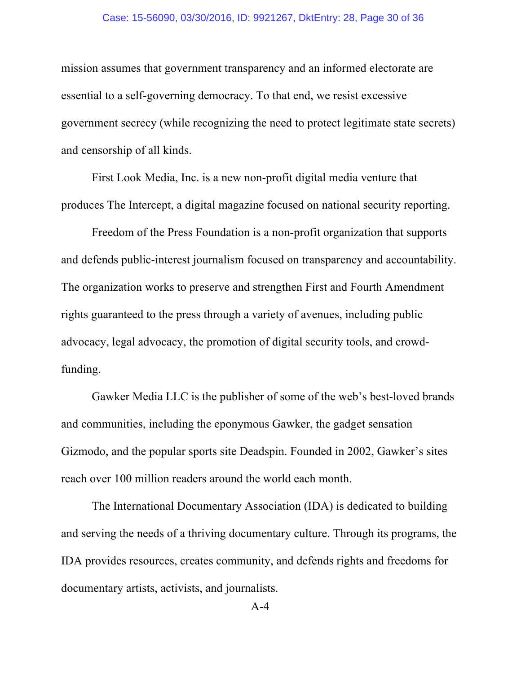#### Case: 15-56090, 03/30/2016, ID: 9921267, DktEntry: 28, Page 30 of 36

mission assumes that government transparency and an informed electorate are essential to a self-governing democracy. To that end, we resist excessive government secrecy (while recognizing the need to protect legitimate state secrets) and censorship of all kinds.

First Look Media, Inc. is a new non-profit digital media venture that produces The Intercept, a digital magazine focused on national security reporting.

Freedom of the Press Foundation is a non-profit organization that supports and defends public-interest journalism focused on transparency and accountability. The organization works to preserve and strengthen First and Fourth Amendment rights guaranteed to the press through a variety of avenues, including public advocacy, legal advocacy, the promotion of digital security tools, and crowdfunding.

Gawker Media LLC is the publisher of some of the web's best-loved brands and communities, including the eponymous Gawker, the gadget sensation Gizmodo, and the popular sports site Deadspin. Founded in 2002, Gawker's sites reach over 100 million readers around the world each month.

The International Documentary Association (IDA) is dedicated to building and serving the needs of a thriving documentary culture. Through its programs, the IDA provides resources, creates community, and defends rights and freedoms for documentary artists, activists, and journalists.

A-4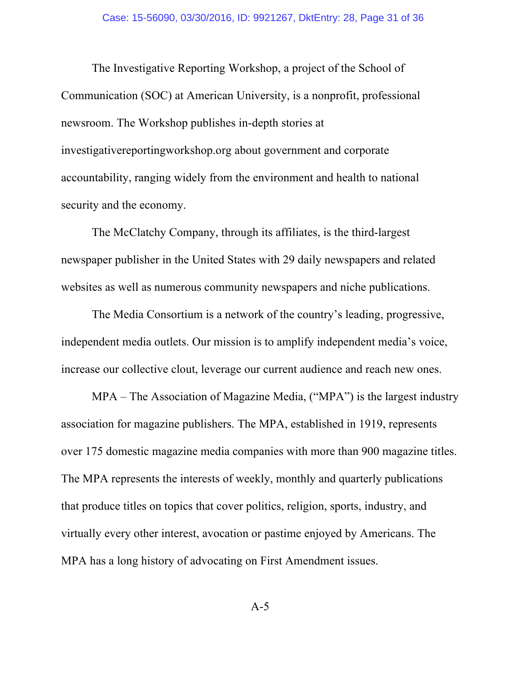The Investigative Reporting Workshop, a project of the School of Communication (SOC) at American University, is a nonprofit, professional newsroom. The Workshop publishes in-depth stories at investigativereportingworkshop.org about government and corporate accountability, ranging widely from the environment and health to national security and the economy.

The McClatchy Company, through its affiliates, is the third-largest newspaper publisher in the United States with 29 daily newspapers and related websites as well as numerous community newspapers and niche publications.

The Media Consortium is a network of the country's leading, progressive, independent media outlets. Our mission is to amplify independent media's voice, increase our collective clout, leverage our current audience and reach new ones.

MPA – The Association of Magazine Media, ("MPA") is the largest industry association for magazine publishers. The MPA, established in 1919, represents over 175 domestic magazine media companies with more than 900 magazine titles. The MPA represents the interests of weekly, monthly and quarterly publications that produce titles on topics that cover politics, religion, sports, industry, and virtually every other interest, avocation or pastime enjoyed by Americans. The MPA has a long history of advocating on First Amendment issues.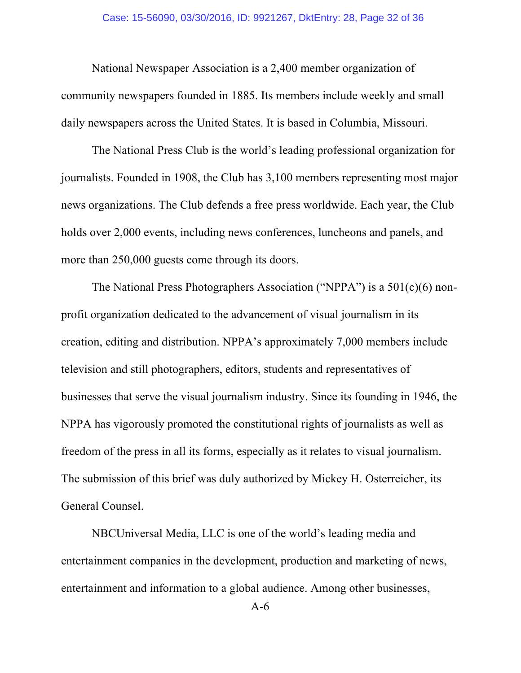National Newspaper Association is a 2,400 member organization of community newspapers founded in 1885. Its members include weekly and small daily newspapers across the United States. It is based in Columbia, Missouri.

The National Press Club is the world's leading professional organization for journalists. Founded in 1908, the Club has 3,100 members representing most major news organizations. The Club defends a free press worldwide. Each year, the Club holds over 2,000 events, including news conferences, luncheons and panels, and more than 250,000 guests come through its doors.

The National Press Photographers Association ("NPPA") is a 501(c)(6) nonprofit organization dedicated to the advancement of visual journalism in its creation, editing and distribution. NPPA's approximately 7,000 members include television and still photographers, editors, students and representatives of businesses that serve the visual journalism industry. Since its founding in 1946, the NPPA has vigorously promoted the constitutional rights of journalists as well as freedom of the press in all its forms, especially as it relates to visual journalism. The submission of this brief was duly authorized by Mickey H. Osterreicher, its General Counsel.

NBCUniversal Media, LLC is one of the world's leading media and entertainment companies in the development, production and marketing of news, entertainment and information to a global audience. Among other businesses,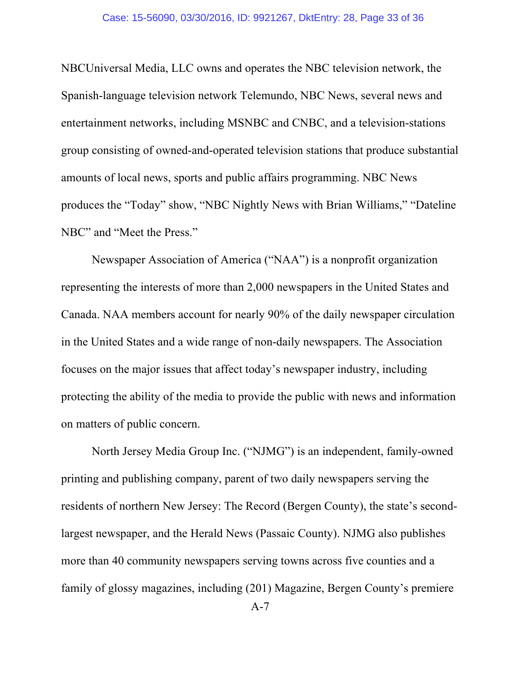NBCUniversal Media, LLC owns and operates the NBC television network, the Spanish-language television network Telemundo, NBC News, several news and entertainment networks, including MSNBC and CNBC, and a television-stations group consisting of owned-and-operated television stations that produce substantial amounts of local news, sports and public affairs programming. NBC News produces the "Today" show, "NBC Nightly News with Brian Williams," "Dateline NBC" and "Meet the Press."

Newspaper Association of America ("NAA") is a nonprofit organization representing the interests of more than 2,000 newspapers in the United States and Canada. NAA members account for nearly 90% of the daily newspaper circulation in the United States and a wide range of non-daily newspapers. The Association focuses on the major issues that affect today's newspaper industry, including protecting the ability of the media to provide the public with news and information on matters of public concern.

North Jersey Media Group Inc. ("NJMG") is an independent, family-owned printing and publishing company, parent of two daily newspapers serving the residents of northern New Jersey: The Record (Bergen County), the state's secondlargest newspaper, and the Herald News (Passaic County). NJMG also publishes more than 40 community newspapers serving towns across five counties and a family of glossy magazines, including (201) Magazine, Bergen County's premiere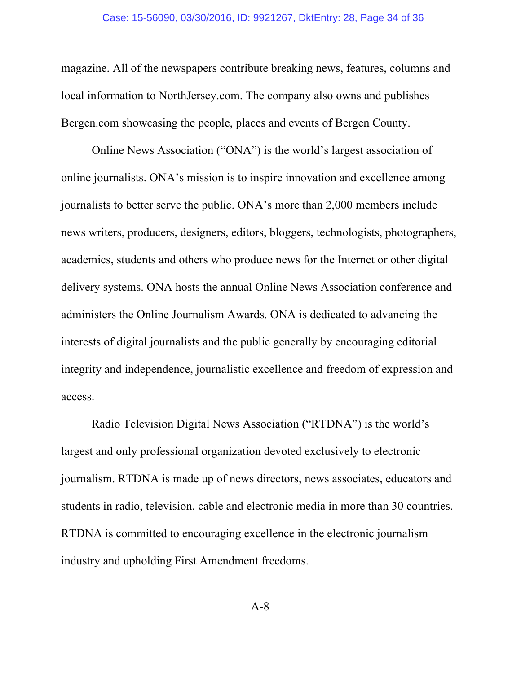#### Case: 15-56090, 03/30/2016, ID: 9921267, DktEntry: 28, Page 34 of 36

magazine. All of the newspapers contribute breaking news, features, columns and local information to NorthJersey.com. The company also owns and publishes Bergen.com showcasing the people, places and events of Bergen County.

Online News Association ("ONA") is the world's largest association of online journalists. ONA's mission is to inspire innovation and excellence among journalists to better serve the public. ONA's more than 2,000 members include news writers, producers, designers, editors, bloggers, technologists, photographers, academics, students and others who produce news for the Internet or other digital delivery systems. ONA hosts the annual Online News Association conference and administers the Online Journalism Awards. ONA is dedicated to advancing the interests of digital journalists and the public generally by encouraging editorial integrity and independence, journalistic excellence and freedom of expression and access.

Radio Television Digital News Association ("RTDNA") is the world's largest and only professional organization devoted exclusively to electronic journalism. RTDNA is made up of news directors, news associates, educators and students in radio, television, cable and electronic media in more than 30 countries. RTDNA is committed to encouraging excellence in the electronic journalism industry and upholding First Amendment freedoms.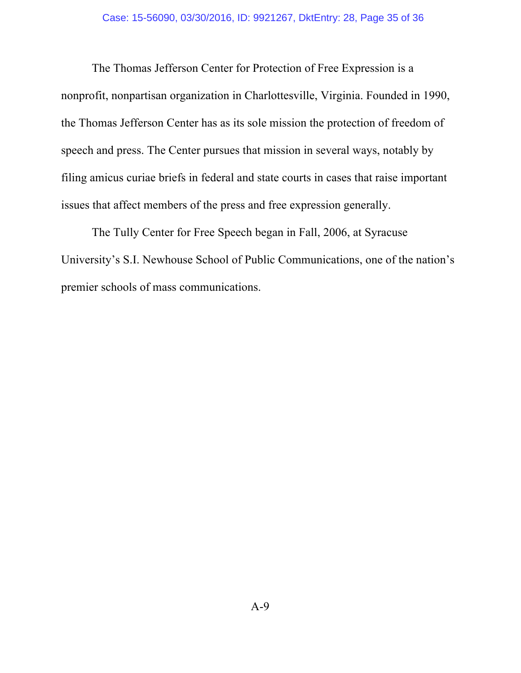The Thomas Jefferson Center for Protection of Free Expression is a nonprofit, nonpartisan organization in Charlottesville, Virginia. Founded in 1990, the Thomas Jefferson Center has as its sole mission the protection of freedom of speech and press. The Center pursues that mission in several ways, notably by filing amicus curiae briefs in federal and state courts in cases that raise important issues that affect members of the press and free expression generally.

The Tully Center for Free Speech began in Fall, 2006, at Syracuse University's S.I. Newhouse School of Public Communications, one of the nation's premier schools of mass communications.